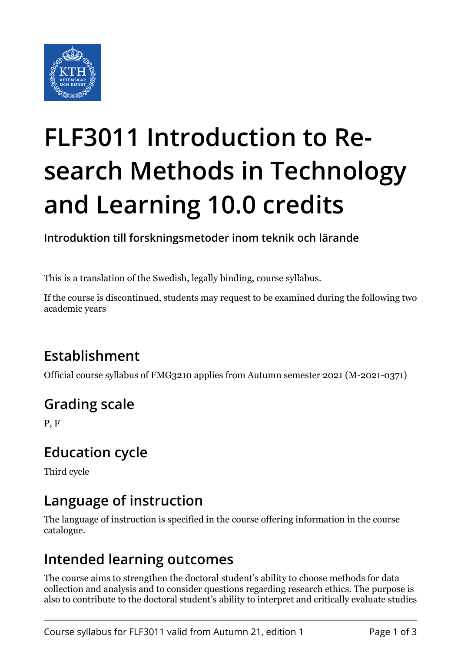

# **FLF3011 Introduction to Research Methods in Technology and Learning 10.0 credits**

**Introduktion till forskningsmetoder inom teknik och lärande**

This is a translation of the Swedish, legally binding, course syllabus.

If the course is discontinued, students may request to be examined during the following two academic years

# **Establishment**

Official course syllabus of FMG3210 applies from Autumn semester 2021 (M-2021-0371)

# **Grading scale**

P, F

#### **Education cycle**

Third cycle

### **Language of instruction**

The language of instruction is specified in the course offering information in the course catalogue.

#### **Intended learning outcomes**

The course aims to strengthen the doctoral student's ability to choose methods for data collection and analysis and to consider questions regarding research ethics. The purpose is also to contribute to the doctoral student's ability to interpret and critically evaluate studies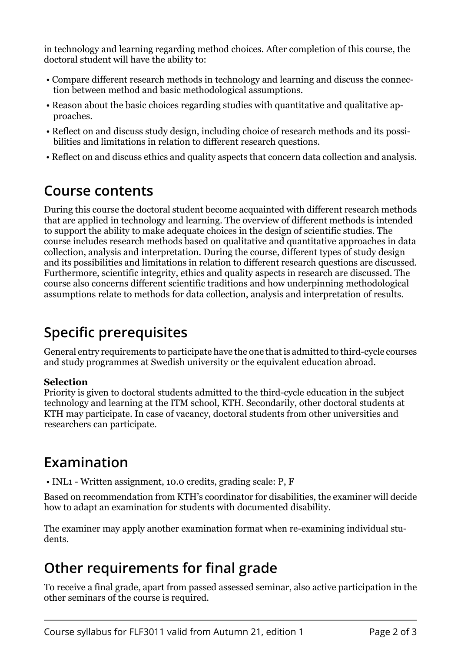in technology and learning regarding method choices. After completion of this course, the doctoral student will have the ability to:

- Compare different research methods in technology and learning and discuss the connection between method and basic methodological assumptions.
- Reason about the basic choices regarding studies with quantitative and qualitative approaches.
- Reflect on and discuss study design, including choice of research methods and its possibilities and limitations in relation to different research questions.
- Reflect on and discuss ethics and quality aspects that concern data collection and analysis.

#### **Course contents**

During this course the doctoral student become acquainted with different research methods that are applied in technology and learning. The overview of different methods is intended to support the ability to make adequate choices in the design of scientific studies. The course includes research methods based on qualitative and quantitative approaches in data collection, analysis and interpretation. During the course, different types of study design and its possibilities and limitations in relation to different research questions are discussed. Furthermore, scientific integrity, ethics and quality aspects in research are discussed. The course also concerns different scientific traditions and how underpinning methodological assumptions relate to methods for data collection, analysis and interpretation of results.

### **Specific prerequisites**

General entry requirements to participate have the one that is admitted to third-cycle courses and study programmes at Swedish university or the equivalent education abroad.

#### **Selection**

Priority is given to doctoral students admitted to the third-cycle education in the subject technology and learning at the ITM school, KTH. Secondarily, other doctoral students at KTH may participate. In case of vacancy, doctoral students from other universities and researchers can participate.

#### **Examination**

• INL1 - Written assignment, 10.0 credits, grading scale: P, F

Based on recommendation from KTH's coordinator for disabilities, the examiner will decide how to adapt an examination for students with documented disability.

The examiner may apply another examination format when re-examining individual students.

# **Other requirements for final grade**

To receive a final grade, apart from passed assessed seminar, also active participation in the other seminars of the course is required.